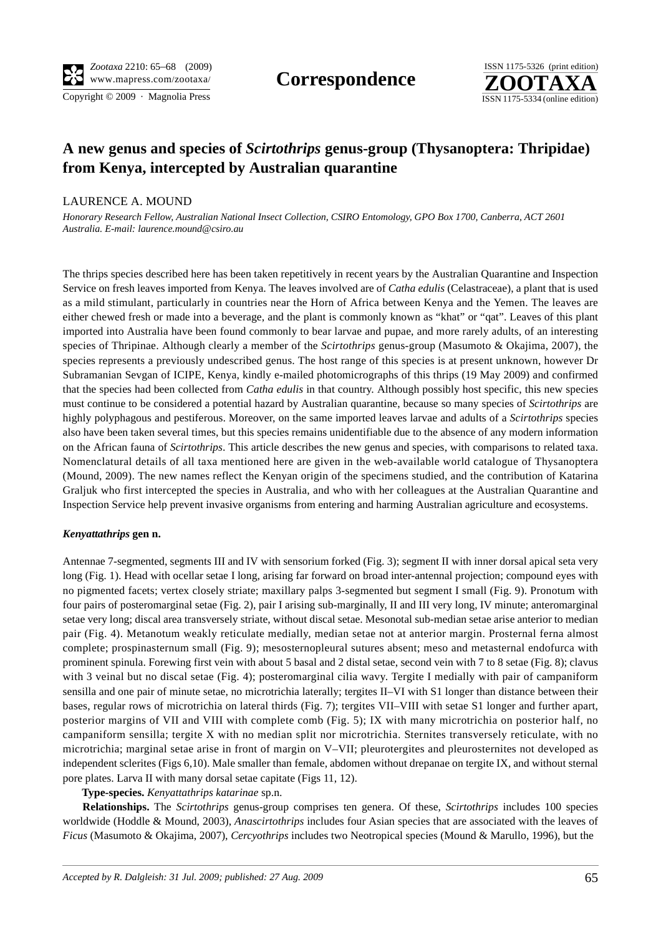Copyright © 2009 · Magnolia Press ISSN 1175-5334 (online edition)



# **A new genus and species of** *Scirtothrips* **genus-group (Thysanoptera: Thripidae) from Kenya, intercepted by Australian quarantine**

## LAURENCE A. MOUND

*Honorary Research Fellow, Australian National Insect Collection, CSIRO Entomology, GPO Box 1700, Canberra, ACT 2601 Australia. E-mail: laurence.mound@csiro.au*

The thrips species described here has been taken repetitively in recent years by the Australian Quarantine and Inspection Service on fresh leaves imported from Kenya. The leaves involved are of *Catha edulis* (Celastraceae), a plant that is used as a mild stimulant, particularly in countries near the Horn of Africa between Kenya and the Yemen. The leaves are either chewed fresh or made into a beverage, and the plant is commonly known as "khat" or "qat". Leaves of this plant imported into Australia have been found commonly to bear larvae and pupae, and more rarely adults, of an interesting species of Thripinae. Although clearly a member of the *Scirtothrips* genus-group (Masumoto & Okajima, 2007), the species represents a previously undescribed genus. The host range of this species is at present unknown, however Dr Subramanian Sevgan of ICIPE, Kenya, kindly e-mailed photomicrographs of this thrips (19 May 2009) and confirmed that the species had been collected from *Catha edulis* in that country. Although possibly host specific, this new species must continue to be considered a potential hazard by Australian quarantine, because so many species of *Scirtothrips* are highly polyphagous and pestiferous. Moreover, on the same imported leaves larvae and adults of a *Scirtothrips* species also have been taken several times, but this species remains unidentifiable due to the absence of any modern information on the African fauna of *Scirtothrips*. This article describes the new genus and species, with comparisons to related taxa. Nomenclatural details of all taxa mentioned here are given in the web-available world catalogue of Thysanoptera (Mound, 2009). The new names reflect the Kenyan origin of the specimens studied, and the contribution of Katarina Graljuk who first intercepted the species in Australia, and who with her colleagues at the Australian Quarantine and Inspection Service help prevent invasive organisms from entering and harming Australian agriculture and ecosystems.

## *Kenyattathrips* **gen n.**

Antennae 7-segmented, segments III and IV with sensorium forked (Fig. 3); segment II with inner dorsal apical seta very long (Fig. 1). Head with ocellar setae I long, arising far forward on broad inter-antennal projection; compound eyes with no pigmented facets; vertex closely striate; maxillary palps 3-segmented but segment I small (Fig. 9). Pronotum with four pairs of posteromarginal setae (Fig. 2), pair I arising sub-marginally, II and III very long, IV minute; anteromarginal setae very long; discal area transversely striate, without discal setae. Mesonotal sub-median setae arise anterior to median pair (Fig. 4). Metanotum weakly reticulate medially, median setae not at anterior margin. Prosternal ferna almost complete; prospinasternum small (Fig. 9); mesosternopleural sutures absent; meso and metasternal endofurca with prominent spinula. Forewing first vein with about 5 basal and 2 distal setae, second vein with 7 to 8 setae (Fig. 8); clavus with 3 veinal but no discal setae (Fig. 4); posteromarginal cilia wavy. Tergite I medially with pair of campaniform sensilla and one pair of minute setae, no microtrichia laterally; tergites II–VI with S1 longer than distance between their bases, regular rows of microtrichia on lateral thirds (Fig. 7); tergites VII–VIII with setae S1 longer and further apart, posterior margins of VII and VIII with complete comb (Fig. 5); IX with many microtrichia on posterior half, no campaniform sensilla; tergite X with no median split nor microtrichia. Sternites transversely reticulate, with no microtrichia; marginal setae arise in front of margin on V–VII; pleurotergites and pleurosternites not developed as independent sclerites (Figs 6,10). Male smaller than female, abdomen without drepanae on tergite IX, and without sternal pore plates. Larva II with many dorsal setae capitate (Figs 11, 12).

**Type-species.** *Kenyattathrips katarinae* sp.n.

**Relationships.** The *Scirtothrips* genus-group comprises ten genera. Of these, *Scirtothrips* includes 100 species worldwide (Hoddle & Mound, 2003), *Anascirtothrips* includes four Asian species that are associated with the leaves of *Ficus* (Masumoto & Okajima, 2007), *Cercyothrips* includes two Neotropical species (Mound & Marullo, 1996), but the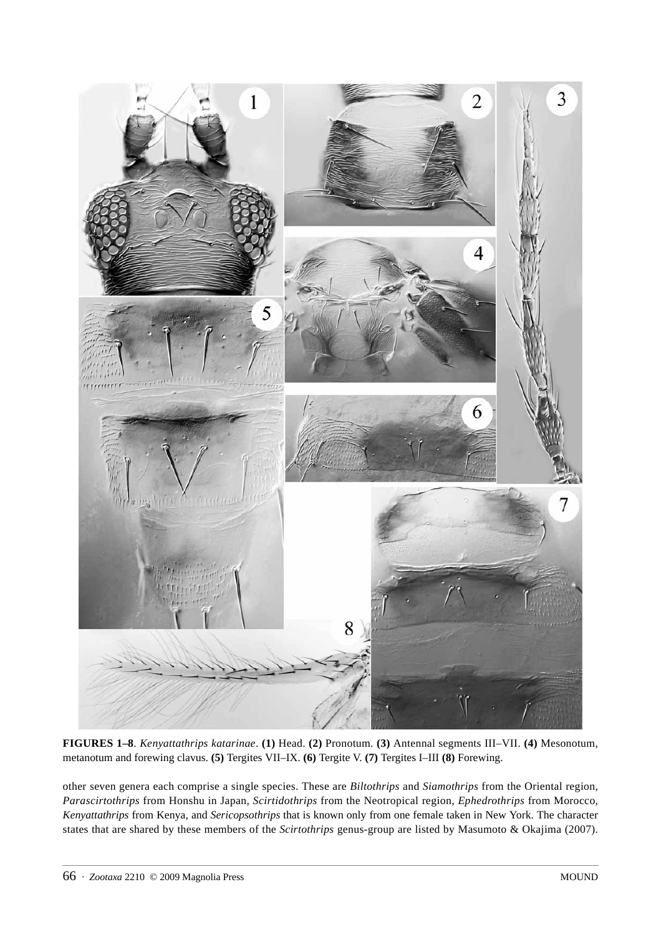

**FIGURES 1–8**. *Kenyattathrips katarinae*. **(1)** Head. **(2)** Pronotum. **(3)** Antennal segments III–VII. **(4)** Mesonotum, metanotum and forewing clavus. **(5)** Tergites VII–IX. **(6)** Tergite V. **(7)** Tergites I–III **(8)** Forewing.

other seven genera each comprise a single species. These are *Biltothrips* and *Siamothrips* from the Oriental region, *Parascirtothrips* from Honshu in Japan, *Scirtidothrips* from the Neotropical region, *Ephedrothrips* from Morocco, *Kenyattathrips* from Kenya, and *Sericopsothrips* that is known only from one female taken in New York. The character states that are shared by these members of the *Scirtothrips* genus-group are listed by Masumoto & Okajima (2007).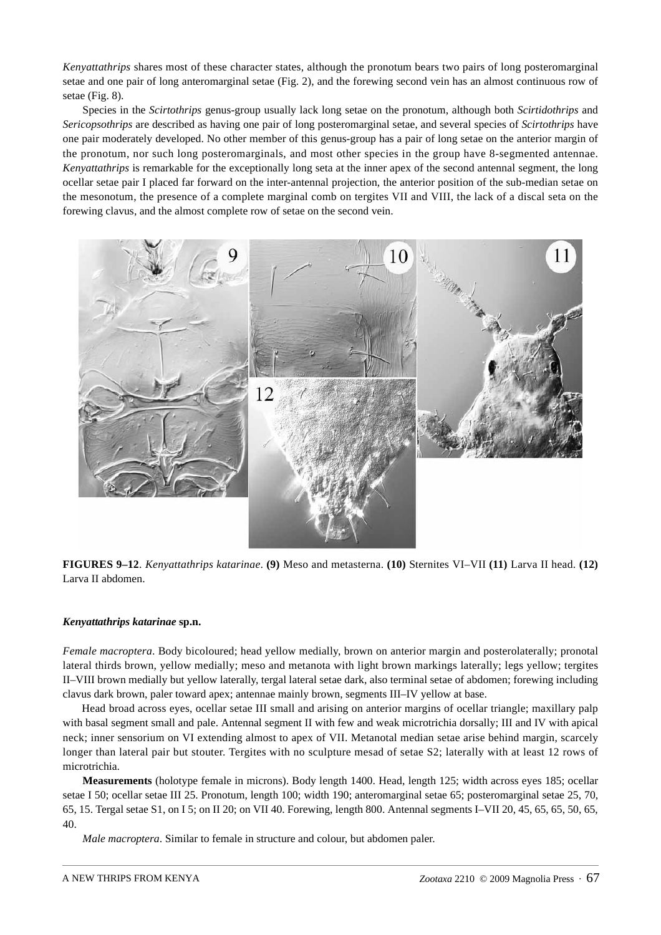*Kenyattathrips* shares most of these character states, although the pronotum bears two pairs of long posteromarginal setae and one pair of long anteromarginal setae (Fig. 2), and the forewing second vein has an almost continuous row of setae (Fig. 8).

Species in the *Scirtothrips* genus-group usually lack long setae on the pronotum, although both *Scirtidothrips* and *Sericopsothrips* are described as having one pair of long posteromarginal setae, and several species of *Scirtothrips* have one pair moderately developed. No other member of this genus-group has a pair of long setae on the anterior margin of the pronotum, nor such long posteromarginals, and most other species in the group have 8-segmented antennae. *Kenyattathrips* is remarkable for the exceptionally long seta at the inner apex of the second antennal segment, the long ocellar setae pair I placed far forward on the inter-antennal projection, the anterior position of the sub-median setae on the mesonotum, the presence of a complete marginal comb on tergites VII and VIII, the lack of a discal seta on the forewing clavus, and the almost complete row of setae on the second vein.



**FIGURES 9–12**. *Kenyattathrips katarinae*. **(9)** Meso and metasterna. **(10)** Sternites VI–VII **(11)** Larva II head. **(12)** Larva II abdomen.

## *Kenyattathrips katarinae* **sp.n.**

*Female macroptera*. Body bicoloured; head yellow medially, brown on anterior margin and posterolaterally; pronotal lateral thirds brown, yellow medially; meso and metanota with light brown markings laterally; legs yellow; tergites II–VIII brown medially but yellow laterally, tergal lateral setae dark, also terminal setae of abdomen; forewing including clavus dark brown, paler toward apex; antennae mainly brown, segments III–IV yellow at base.

Head broad across eyes, ocellar setae III small and arising on anterior margins of ocellar triangle; maxillary palp with basal segment small and pale. Antennal segment II with few and weak microtrichia dorsally; III and IV with apical neck; inner sensorium on VI extending almost to apex of VII. Metanotal median setae arise behind margin, scarcely longer than lateral pair but stouter. Tergites with no sculpture mesad of setae S2; laterally with at least 12 rows of microtrichia.

**Measurements** (holotype female in microns). Body length 1400. Head, length 125; width across eyes 185; ocellar setae I 50; ocellar setae III 25. Pronotum, length 100; width 190; anteromarginal setae 65; posteromarginal setae 25, 70, 65, 15. Tergal setae S1, on I 5; on II 20; on VII 40. Forewing, length 800. Antennal segments I–VII 20, 45, 65, 65, 50, 65, 40.

*Male macroptera*. Similar to female in structure and colour, but abdomen paler.